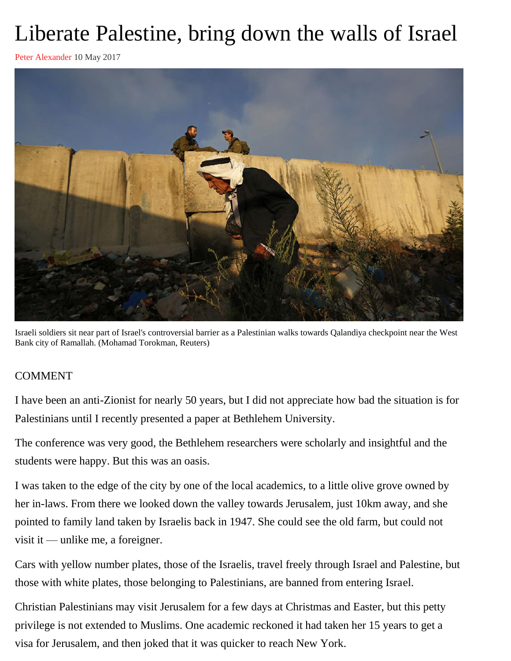## Liberate Palestine, bring down the walls of Israel

[Peter Alexander](https://mg.co.za/author/peter-alexander) 10 May 2017



[Israeli soldiers sit near part of Israel's controversial barrier as a Palestinian walks towards Qalandiya checkpoint near the](https://mg.co.za/article/2017-05-09-liberate-palestine-bring-down-the-walls-of-israel) West [Bank city of Ramallah. \(Mohamad Torokman, Reuters\)](https://mg.co.za/article/2017-05-09-liberate-palestine-bring-down-the-walls-of-israel)

## COMMENT

I have been an anti-Zionist for nearly 50 years, but I did not appreciate how bad the situation is for Palestinians until I recently presented a paper at Bethlehem University.

The conference was very good, the Bethlehem researchers were scholarly and insightful and the students were happy. But this was an oasis.

I was taken to the edge of the city by one of the local academics, to a little olive grove owned by her in-laws. From there we looked down the valley towards Jerusalem, just 10km away, and she pointed to family land taken by Israelis back in 1947. She could see the old farm, but could not visit it — unlike me, a foreigner.

Cars with yellow number plates, those of the Israelis, travel freely through Israel and Palestine, but those with white plates, those belonging to Palestinians, are banned from entering Israel.

Christian Palestinians may visit Jerusalem for a few days at Christmas and Easter, but this petty privilege is not extended to Muslims. One academic reckoned it had taken her 15 years to get a visa for Jerusalem, and then joked that it was quicker to reach New York.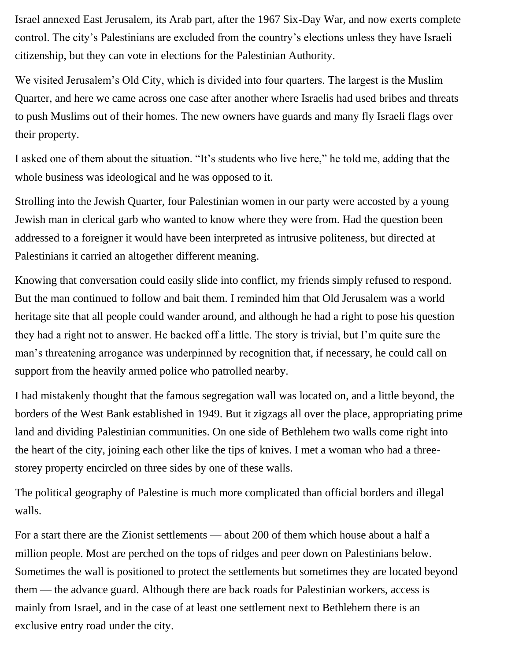Israel annexed East Jerusalem, its Arab part, after the 1967 Six-Day War, and now exerts complete control. The city's Palestinians are excluded from the country's elections unless they have Israeli citizenship, but they can vote in elections for the Palestinian Authority.

We visited Jerusalem's Old City, which is divided into four quarters. The largest is the Muslim Quarter, and here we came across one case after another where Israelis had used bribes and threats to push Muslims out of their homes. The new owners have guards and many fly Israeli flags over their property.

I asked one of them about the situation. "It's students who live here," he told me, adding that the whole business was ideological and he was opposed to it.

Strolling into the Jewish Quarter, four Palestinian women in our party were accosted by a young Jewish man in clerical garb who wanted to know where they were from. Had the question been addressed to a foreigner it would have been interpreted as intrusive politeness, but directed at Palestinians it carried an altogether different meaning.

Knowing that conversation could easily slide into conflict, my friends simply refused to respond. But the man continued to follow and bait them. I reminded him that Old Jerusalem was a world heritage site that all people could wander around, and although he had a right to pose his question they had a right not to answer. He backed off a little. The story is trivial, but I'm quite sure the man's threatening arrogance was underpinned by recognition that, if necessary, he could call on support from the heavily armed police who patrolled nearby.

I had mistakenly thought that the famous segregation wall was located on, and a little beyond, the borders of the West Bank established in 1949. But it zigzags all over the place, appropriating prime land and dividing Palestinian communities. On one side of Bethlehem two walls come right into the heart of the city, joining each other like the tips of knives. I met a woman who had a threestorey property encircled on three sides by one of these walls.

The political geography of Palestine is much more complicated than official borders and illegal walls.

For a start there are the Zionist settlements — about 200 of them which house about a half a million people. Most are perched on the tops of ridges and peer down on Palestinians below. Sometimes the wall is positioned to protect the settlements but sometimes they are located beyond them — the advance guard. Although there are back roads for Palestinian workers, access is mainly from Israel, and in the case of at least one settlement next to Bethlehem there is an exclusive entry road under the city.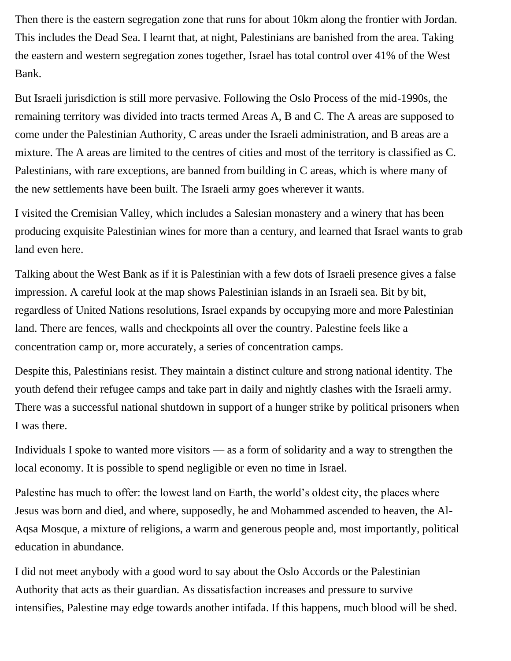Then there is the eastern segregation zone that runs for about 10km along the frontier with Jordan. This includes the Dead Sea. I learnt that, at night, Palestinians are banished from the area. Taking the eastern and western segregation zones together, Israel has total control over 41% of the West Bank.

But Israeli jurisdiction is still more pervasive. Following the Oslo Process of the mid-1990s, the remaining territory was divided into tracts termed Areas A, B and C. The A areas are supposed to come under the Palestinian Authority, C areas under the Israeli administration, and B areas are a mixture. The A areas are limited to the centres of cities and most of the territory is classified as C. Palestinians, with rare exceptions, are banned from building in C areas, which is where many of the new settlements have been built. The Israeli army goes wherever it wants.

I visited the Cremisian Valley, which includes a Salesian monastery and a winery that has been producing exquisite Palestinian wines for more than a century, and learned that Israel wants to grab land even here.

Talking about the West Bank as if it is Palestinian with a few dots of Israeli presence gives a false impression. A careful look at the map shows Palestinian islands in an Israeli sea. Bit by bit, regardless of United Nations resolutions, Israel expands by occupying more and more Palestinian land. There are fences, walls and checkpoints all over the country. Palestine feels like a concentration camp or, more accurately, a series of concentration camps.

Despite this, Palestinians resist. They maintain a distinct culture and strong national identity. The youth defend their refugee camps and take part in daily and nightly clashes with the Israeli army. There was a successful national shutdown in support of a hunger strike by political prisoners when I was there.

Individuals I spoke to wanted more visitors — as a form of solidarity and a way to strengthen the local economy. It is possible to spend negligible or even no time in Israel.

Palestine has much to offer: the lowest land on Earth, the world's oldest city, the places where Jesus was born and died, and where, supposedly, he and Mohammed ascended to heaven, the Al-Aqsa Mosque, a mixture of religions, a warm and generous people and, most importantly, political education in abundance.

I did not meet anybody with a good word to say about the Oslo Accords or the Palestinian Authority that acts as their guardian. As dissatisfaction increases and pressure to survive intensifies, Palestine may edge towards another intifada. If this happens, much blood will be shed.